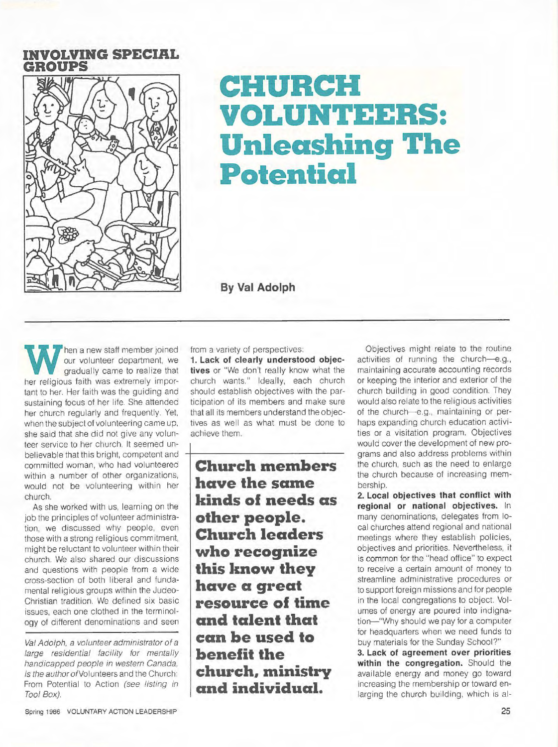## **INVOLVING SPECIAL GROUPS**



## **CHURCH VOLUNTEERS: Unleashing The Potential**

**By Val Adolph** 

hen a new staff member joined our volunteer department, we gradually came to realize that her religious faith was extremely important to her. Her faith was the guiding and sustaining focus of her life. She attended her church regularly and frequently. Yet, when the subject of volunteering came up, she said that she did not give any volunteer service to her church. It seemed unbelievable that this bright, competent and committed woman, who had volunteered within a number of other organizations, would not be volunteering within her church.

As she worked with us, learning on the job the principles of volunteer administration, we discussed why people, even those with a strong religious commitment, might be reluctant to volunteer within their church. We also shared our discussions and questions with people from a wide cross-section of both liberal and fundamental religious groups within the Judea-Christian tradition. We defined six basic issues, each one clothed in the terminology of different denominations and seen

Val Adolph, a volunteer administrator of a large residential facility for mentally handicapped people in western Canada, is the author of Volunteers and the Church: From Potential to Action (see listing in Tool Box).

from a variety of perspectives:

**1. Lack of clearly understood objectives** or "We don't really know what the church wants." Ideally, each church should establish objectives with the participation of its members and make sure that all its members understand the objectives as well as what must be done to achieve them.

**Church members have the same kinds of needs as other people. Church leaders who recognize this know they have a great resource of time and talent that can be used lo benefit the church. ministry and individual.** 

Objectives might relate to the routine activities of running the church-e.g., maintaining accurate accounting records or keeping the interior and exterior of the church building in good condition. They would also relate to the religious activities of the church-e.g., maintaining or perhaps expanding church education activities or a visitation program. Objectives would cover the development of new programs and also address problems within the church, such as the need to enlarge the church because of increasing membership.

**2. Local objectives that conflict with regional or national objectives.** In many denominations, delegates from local churches attend regional and national meetings where they establish policies, objectives and priorities. Nevertheless, it is common for the "head office" to expect to receive a certain amount of money to streamline administrative procedures or to support foreign missions and for people in the local congregations to object. Volumes of energy are poured into indignation-"Why should we pay for a computer for headquarters when we need funds to buy materials for the Sunday School?"

**3. Lack of agreement over priorities within the congregation.** Should the available energy and money go toward increasing the membership or toward enlarging the church building, which is al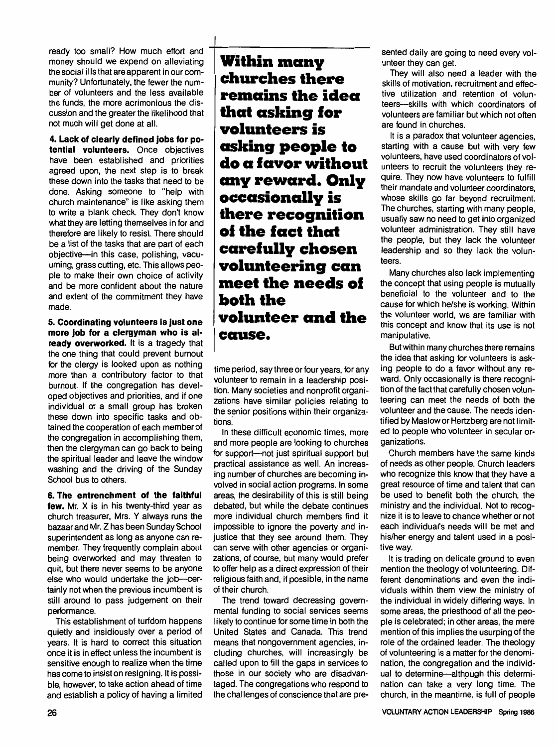ready too small? How much effort and money should we expend on alleviating the social ills that are apparent in our community? Unfortunately, the fewer the number of volunteers and the less available the funds, the more acrimonious the discussion and the greater the likelihood that not much will get done at all.

**4. Lack of clearly defined jobs for potential volunteers.** Once objectives have been established and priorities agreed upon, the next step is to break these down into the tasks that need to be done. Asking someone to "help with church maintenance" is like asking them to write a blank check. They don't know what they are letting themselves in for and therefore are likely to resist. There should be a list of the tasks that are part of each objective-in this case, polishing, vacuuming, grass cutting, etc. This allows people to make their own choice of activity and be more confident about the nature and extent of the commitment they have made.

**5. Coordinating volunteers Is Just one more job for a clergyman who is already overworked.** It is a tragedy that the one thing that could prevent burnout for the clergy is looked upon as nothing more than a contributory factor to that burnout. If the congregation has developed objectives and priorities, and if one individual or a small group has broken these down into specific tasks and obtained the cooperation of each member of the congregation in accomplishing them, then the clergyman can go back to being the spiritual leader and leave the window washing and the driving of the Sunday School bus to others.

&. **The entrenchment of the faithful few.** Mr. X is in his twenty-third year as church treasurer, Mrs. Y always runs the bazaar and Mr. Z has been Sunday School superintendent as long as anyone can remember. They frequently complain about being overworked and may threaten to quit, but there never seems to be anyone else who would undertake the job-certainly not when the previous incumbent is still around to pass judgement on their performance.

This establishment of turfdom happens quietly and insidiously over a period of years. It is hard to correct this situation once it is in effect unless the incumbent is sensitive enough to realize when the time has come to insist on resigning. It is possible, however, to take action ahead of time and establish a policy of having a limited

**Within many churches there remains the idea that asking for volunteers is asking people to do a favor without any reward. Only occasionally is there recognition of the fact that carefully chosen volunteering can meet the needs of both the volunteer and the cause.** 

time period, say three or four years, for any volunteer to remain in a leadership position. Many societies and nonprofit organizations have similar policies relating to the senior positions within their organizations.

In these difficult economic times, more and more people are looking to churches for support-not just spiritual support but practical assistance as well. An increasing number of churches are becoming involved in social action programs. In some areas, the desirability of this is still being debated, but while the debate continues more individual church members find it impossible to ignore the poverty and injustice that they see around them. They can serve with other agencies or organizations, of course, but many would prefer to offer help as a direct expression of their religious faith and, if possible, in the name of their church.

The trend toward decreasing governmental funding to social services seems likely to continue for some time in both the United States and Canada. This trend means that nongovernment agencies, including churches, will increasingly be called upon to fill the gaps in services to those in our society who are disadvantaged. The congregations who respond to the challenges of conscience that are presented daily are going to need every volunteer they can get.

They will also need a leader with the skills of motivation, recruitment and effective utilization and retention of volunteers-skills with which coordinators of volunteers are familiar but which not often are found in churches.

It is a paradox that volunteer agencies, starting with a cause but with very few volunteers, have used coordinators of volunteers to recruit the volunteers they require. They now have volunteers to fulfill their mandate and volunteer coordinators, whose skills go far beyond recruitment. The churches, starting with many people, usually saw no need to get into organized volunteer administration. They still have the people, but they lack the volunteer leadership and so they lack the volunteers.

Many churches also lack implementing the concept that using people is mutually beneficial to the volunteer and to the cause for which he/she is working. Within the volunteer world, we are familiar with this concept and know that its use is not manipulative.

But within many churches there remains the idea that asking for volunteers is asking people to do a favor without any reward. Only occasionally is there recognition of the fact that carefully chosen volunteering can meet the needs of both the volunteer and the cause. The needs identified by Maslow or Hertzberg are not limited to people who volunteer in secular organizations.

Church members have the same kinds of needs as other people. Church leaders who recognize this know that they have a great resource of time and talent that can be used to benefit both the church, the ministry and the individual. Not to recognize it is to leave to chance whether or not each individual's needs will be met and his/her energy and talent used in a positive way.

It is trading on delicate ground to even mention the theology of volunteering. Different denominations and even the individuals within them view the ministry of the individual in widely differing ways. In some areas, the priesthood of all the people is celebrated; in other areas, the mere mention of this implies the usurping of the role of the ordained leader. The theology of volunteering is a matter for the denomination, the congregation and the individual to determine-although this determination can take a very long time. The church, in the meantime, is full of people